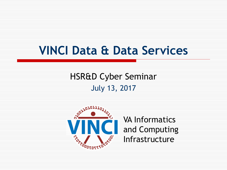# **VINCI Data & Data Services**

HSR&D Cyber Seminar July 13, 2017



VA Informatics **and Computing<br>
skg<sup>§</sup>** Infrastructure Infrastructure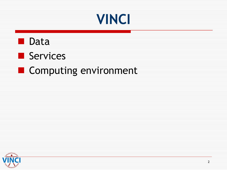





## **Computing environment**

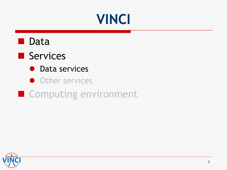# **VINCI**





- **•** Data services
- **Other services**
- **Computing environment**

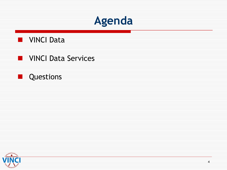

#### **NET VINCI Data**

### **NORMAN SERVICES**

#### П Questions

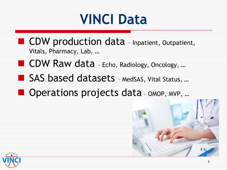# **VINCI Data**

- **CDW** production data Inpatient, Outpatient, Vitals, Pharmacy, Lab, …
- **CDW Raw data** Echo, Radiology, Oncology, ...
- SAS based datasets MedSAS, Vital Status, ...
- Operations projects data OMOP, MVP, ...



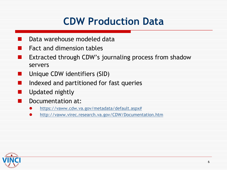## **CDW Production Data**

- Data warehouse modeled data
- Fact and dimension tables
- Extracted through CDW's journaling process from shadow servers
- Unique CDW identifiers (SID)
	- Indexed and partitioned for fast queries
	- Updated nightly
		- Documentation at:
		- $\bullet$ [https://vaww.cdw.va.gov/metadata/default.aspx#](https://vaww.cdw.va.gov/metadata/default.aspx)
		- $\bullet$ <http://vaww.virec.research.va.gov/CDW/Documentation.htm>

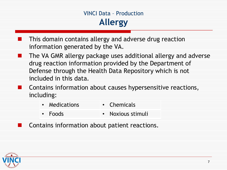### VINCI Data – Production **Allergy**

- information generated by the VA. This domain contains allergy and adverse drug reaction
- drug reaction information provided by the Department of included in this data. I. The VA GMR allergy package uses additional allergy and adverse Defense through the Health Data Repository which is not
- **Contract Contract Street** Contains information about causes hypersensitive reactions, including:
	- Medications Chemicals
	- Foods Noxious stimuli
	- Contains information about patient reactions.

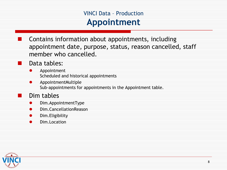### VINCI Data – Production **Appointment**

Contains information about appointments, including appointment date, purpose, status, reason cancelled, staff member who cancelled.

#### Data tables:

**The Second** 

- $\bullet$ Appointment Scheduled and historical appointments
- $\bullet$ AppointmentMultiple Sub-appointments for appointments in the Appointment table.

#### Dim tables

- $\bullet$ Dim.AppointmentType
- $\bullet$ Dim.CancellationReason
- $\bullet$ Dim.Eligibility
- $\bullet$ Dim.Location

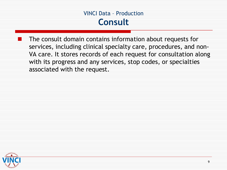VINCI Data – Production **Consult**

 with its progress and any services, stop codes, or specialties The consult domain contains information about requests for services, including clinical specialty care, procedures, and non-VA care. It stores records of each request for consultation along associated with the request.

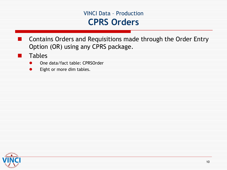#### VINCI Data – Production **CPRS Orders**

Contains Orders and Requisitions made through the Order Entry Option (OR) using any CPRS package.

**Tables** 

.

- $\bullet$ One data/fact table: CPRSOrder
- $\bullet$ Eight or more dim tables.

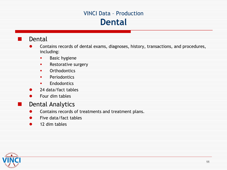#### VINCI Data – Production **Dental**

#### Dental

œ

- $\bullet$ Contains records of dental exams, diagnoses, history, transactions, and procedures, including:
	- п, Basic hygiene
	- п. Restorative surgery
	- $\blacksquare$ **Orthodontics**
	- п. Periodontics
	- $\blacksquare$ **Endodontics**
- $\bullet$ 24 data/fact tables
- $\bullet$ Four dim tables

#### Dental Analytics

- $\bullet$ Contains records of treatments and treatment plans.
- $\bullet$ Five data/fact tables
- 12 dim tables  $\bullet$

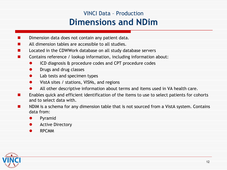### VINCI Data – Production **Dimensions and NDim**

- Dimension data does not contain any patient data.
- All dimension tables are accessible to all studies.
- Located in the CDWWork database on all study database servers
- Contains reference / lookup information, including information about:
	- $\bullet$ ICD diagnosis & procedure codes and CPT procedure codes
	- $\bullet$ Drugs and drug classes
	- $\bullet$ Lab tests and specimen types
	- $\bullet$ VistA sites / stations, VISNs, and regions
	- $\bullet$ All other descriptive information about terms and items used in VA health care.
- . Enables quick and efficient identification of the items to use to select patients for cohorts and to select data with.
- NDIM is a schema for any dimension table that is not sourced from a VistA system. Contains data from:  $\overline{\phantom{a}}$ 
	- $\bullet$ Pyramid
	- $\bullet$ Active Directory
	- $\bullet$ RPCMM

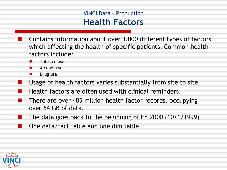### VINCI Data – Production  **Health Factors**

- Contains information about over 3,000 different types of factors which affecting the health of specific patients. Common health factors include:
	- $\bullet$ Tobacco use
	- $\bullet$ Alcohol use
	- $\bullet$ Drug use

- Usage of health factors varies substantially from site to site.
- Health factors are often used with clinical reminders.
- ₩ There are over 485 million health factor records, occupying over 64 GB of data.
- The data goes back to the beginning of FY 2000 (10/1/1999)
- One data/fact table and one dim table

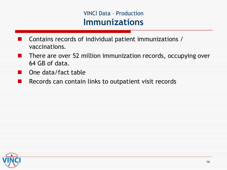#### VINCI Data – Production **Immunizations**

- Contains records of individual patient immunizations / vaccinations.
- There are over 52 million immunization records, occupying over 64 GB of data. . .
- One data/fact table m.
- . . Records can contain links to outpatient visit records

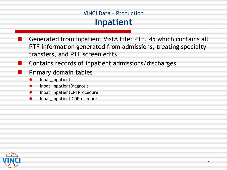#### VINCI Data – Production **Inpatient**

- Generated from Inpatient VistA File: PTF, 45 which contains all PTF information generated from admissions, treating specialty transfers, and PTF screen edits.
- Contains records of inpatient admissions/discharges.
- Primary domain tables
- $\bullet$ Inpat\_Inpatient
- $\bullet$ Inpat\_InpatientDiagnosis
- $\bullet$ Inpat\_InpatientCPTProcedure
- $\bullet$ Inpat\_InpatientICDProcedure



Œ

÷,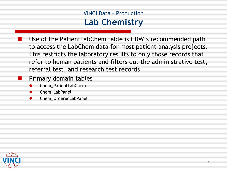#### VINCI Data – Production **Lab Chemistry**

- This restricts the laboratory results to only those records that Use of the PatientLabChem table is CDW's recommended path to access the LabChem data for most patient analysis projects. refer to human patients and filters out the administrative test, referral test, and research test records.
- **Primary domain tables** 
	- $\bullet$ Chem\_PatientLabChem
	- $\bullet$ Chem\_LabPanel
	- $\bullet$ Chem\_OrderedLabPanel

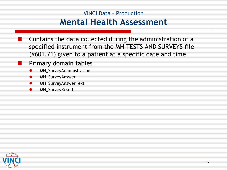### VINCI Data – Production **Mental Health Assessment**

- specified instrument from the MH TESTS AND SURVEYS file Contains the data collected during the administration of a (#601.71) given to a patient at a specific date and time.
- Primary domain tables
- $\bullet$ MH\_SurveyAdministration
- $\bullet$ MH\_SurveyAnswer
- $\bullet$ MH\_SurveyAnswerText
- $\bullet$ MH\_SurveyResult



œ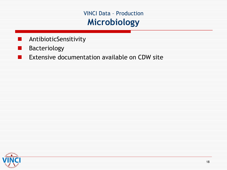VINCI Data – Production **Microbiology**

- AntibioticSensitivity
- Bacteriology

. .

e de la

Œ Extensive documentation available on CDW site

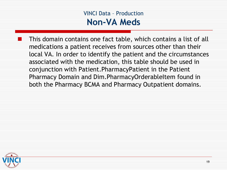#### VINCI Data – Production  **Non-VA Meds**

 medications a patient receives from sources other than their associated with the medication, this table should be used in both the Pharmacy BCMA and Pharmacy Outpatient domains. This domain contains one fact table, which contains a list of all local VA. In order to identify the patient and the circumstances conjunction with Patient.PharmacyPatient in the Patient Pharmacy Domain and Dim.PharmacyOrderableItem found in

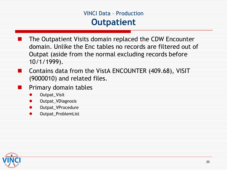#### VINCI Data – Production **Outpatient**

- The Outpatient Visits domain replaced the CDW Encounter domain. Unlike the Enc tables no records are filtered out of Outpat (aside from the normal excluding records before 10/1/1999).
- Contains data from the VistA ENCOUNTER (409.68), VISIT (9000010) and related files.
	- Primary domain tables
	- $\bullet$ Outpat\_Visit
	- $\bullet$ Outpat\_VDiagnosis
	- $\bullet$ Outpat\_VProcedure
	- $\bullet$ Outpat\_ProblemList



**Friday**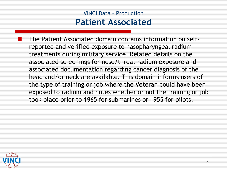### VINCI Data – Production **Patient Associated**

 associated documentation regarding cancer diagnosis of the took place prior to 1965 for submarines or 1955 for pilots. The Patient Associated domain contains information on selfreported and verified exposure to nasopharyngeal radium treatments during military service. Related details on the associated screenings for nose/throat radium exposure and head and/or neck are available. This domain informs users of the type of training or job where the Veteran could have been exposed to radium and notes whether or not the training or job

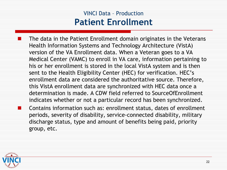### VINCI Data – Production **Patient Enrollment**

The data in the Patient Enrollment domain originates in the Veterans Health Information Systems and Technology Architecture (VistA) version of the VA Enrollment data. When a Veteran goes to a VA Medical Center (VAMC) to enroll in VA care, information pertaining to his or her enrollment is stored in the local VistA system and is then sent to the Health Eligibility Center (HEC) for verification. HEC's enrollment data are considered the authoritative source. Therefore, this VistA enrollment data are synchronized with HEC data once a determination is made. A CDW field referred to SourceOfEnrollment indicates whether or not a particular record has been synchronized. Contains information such as: enrollment status, dates of enrollment periods, severity of disability, service-connected disability, military discharge status, type and amount of benefits being paid, priority group, etc.



 $\overline{\phantom{a}}$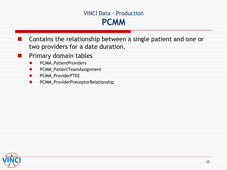#### VINCI Data – Production **PCMM**

Contains the relationship between a single patient and one or two providers for a date duration.

- Primary domain tables
	- $\bullet$ PCMM\_PatientProviders
	- $\bullet$ PCMM\_PatientTeamAssignment
	- $\bullet$ PCMM\_ProviderFTEE
	- $\bullet$ PCMM\_ProviderPreceptorRelationship



Œ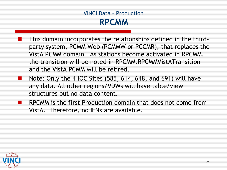#### VINCI Data – Production **RPCMM**

- VistA PCMM domain. As stations become activated in RPCMM, and the VistA PCMM will be retired. This domain incorporates the relationships defined in the thirdparty system, PCMM Web (PCMMW or PCCMR), that replaces the the transition will be noted in RPCMM.RPCMMVistATransition
- Note: Only the 4 IOC Sites (585, 614, 648, and 691) will have **The Contract Service** any data. All other regions/VDWs will have table/view structures but no data content.
	- RPCMM is the first Production domain that does not come from VistA. Therefore, no IENs are available.

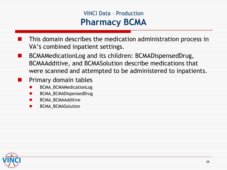### VINCI Data – Production **Pharmacy BCMA**

- This domain describes the medication administration process in VA's combined inpatient settings.
- BCMAMedicationLog and its children: BCMADispensedDrug, . BCMAAdditive, and BCMASolution describe medications that were scanned and attempted to be administered to inpatients.
	- Primary domain tables
	- $\bullet$ BCMA\_BCMAMedicationLog
	- $\bullet$ BCMA\_BCMADispensedDrug
	- $\bullet$ BCMA\_BCMAAdditive
	- $\bullet$ BCMA\_BCMASolution

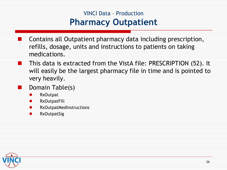### VINCI Data – Production **Pharmacy Outpatient**

- Contains all Outpatient pharmacy data including prescription, refills, dosage, units and instructions to patients on taking medications.
- very heavily. 11 This data is extracted from the VistA file: PRESCRIPTION (52). It will easily be the largest pharmacy file in time and is pointed to
	- Domain Table(s)
	- **RxOutpat**  $\bullet$
	- $\bullet$ **RxOutpatFill**
	- $\bullet$ RxOutpatMedInstructions
	- $\bullet$ RxOutpatSig



▆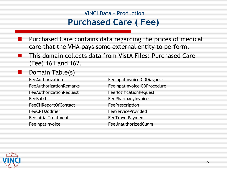### VINCI Data – Production  **Purchased Care ( Fee)**

- Purchased Care contains data regarding the prices of medical care that the VHA pays some external entity to perform.
- This domain collects data from VistA Files: Purchased Care (Fee) 161 and 162.

#### Domain Table(s)

**FeeAuthorizationRemarks**  FeeAuthorizationRequest FeeNotificationRequest FeeBatch FeeCHReportOfContact FeePrescription FeeCPTModifier FeelnitialTreatment FeeInpatInvoice

FeeAuthorization FeeInpatInvoiceICDDiagnosis FeeInpatInvoiceICDProcedure **FeePharmacyInvoice FeeServiceProvided FeeTravelPayment FeeUnauthorizedClaim** 



×.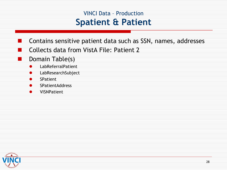### VINCI Data – Production  **Spatient & Patient**

- Contains sensitive patient data such as SSN, names, addresses
- Collects data from VistA File: Patient 2
	- Domain Table(s)
		- $\bullet$ LabReferralPatient
		- $\bullet$ LabResearchSubject
		- $\bullet$ SPatient

▆

- $\bullet$ SPatientAddress
- $\bullet$ VISNPatient

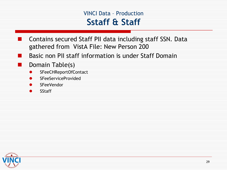#### VINCI Data – Production  **Sstaff & Staff**

- gathered from VistA File: New Person 200 Contains secured Staff PII data including staff SSN. Data
- ÷. Basic non PII staff information is under Staff Domain
	- Domain Table(s)
	- $\bullet$ SFeeCHReportOfContact
	- $\bullet$ SFeeServiceProvided
	- $\bullet$ **SFeeVendor**
	- $\bullet$ SStaff

r t

ш

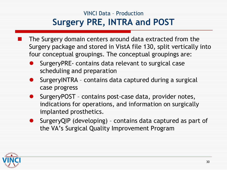### VINCI Data – Production **Surgery PRE, INTRA and POST**

- The Surgery domain centers around data extracted from the Surgery package and stored in VistA file 130, split vertically into four conceptual groupings. The conceptual groupings are:
- **SurgeryPRE- contains data relevant to surgical case** scheduling and preparation
- SurgeryINTRA contains data captured during a surgical case progress  $\bullet$
- case progress<br>SurgeryPOST contains post-case data, provider notes,  $\bullet$ indications for operations, and information on surgically
- implanted prosthetics.<br>SurgeryQIP (developing) contains data captured as part of  $\bullet$ the VA's Surgical Quality Improvement Program

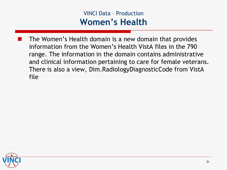#### VINCI Data – Production **Women's Health**

 information from the Women's Health VistA files in the 790 There is also a view, Dim.RadiologyDiagnosticCode from VistA The Women's Health domain is a new domain that provides range. The information in the domain contains administrative and clinical information pertaining to care for female veterans. file

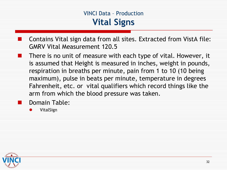#### VINCI Data – Production **Vital Signs**

- Contains Vital sign data from all sites. Extracted from VistA file: GMRV Vital Measurement 120.5
- . . There is no unit of measure with each type of vital. However, it is assumed that Height is measured in inches, weight in pounds, respiration in breaths per minute, pain from 1 to 10 (10 being maximum), pulse in beats per minute, temperature in degrees Fahrenheit, etc. or vital qualifiers which record things like the arm from which the blood pressure was taken.
	- Domain Table:
	- $\bullet$ VitalSign

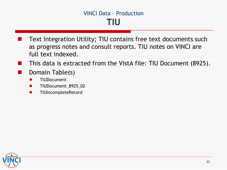#### VINCI Data – Production **TIU**

- Text Integration Utility; TIU contains free text documents such as progress notes and consult reports. TIU notes on VINCI are full text indexed.
- This data is extracted from the VistA file: TIU Document (8925).
- Domain Table(s)
- $\bullet$ TIUDocument
- $\bullet$ TIUDocument\_8925\_02
- $\bullet$ TIUIncompleteRecord



. .

.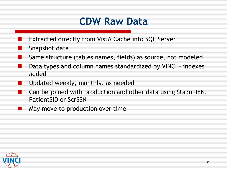## **CDW Raw Data**

- Extracted directly from VistA Caché into SQL Server
- Snapshot data

- Same structure (tables names, fields) as source, not modeled
- Data types and column names standardized by VINCI – indexes added
- Updated weekly, monthly, as needed
- PatientSID or ScrSSN . . Can be joined with production and other data using Sta3n+IEN,
- . May move to production over time

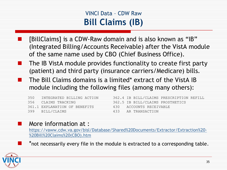### VINCI Data – CDW Raw **Bill Claims (IB)**

- [BillClaims] is a CDW-Raw domain and is also known as "IB" (Integrated Billing/Accounts Receivable) after the VistA module of the same name used by CBO (Chief Business Office).
- œ The IB VistA module provides functionality to create first party (patient) and third party (insurance carriers/Medicare) bills.
	- The Bill Claims domains is a limited\* extract of the VistA IB module including the following files (among many others):
	- 361.1 EXPLANATION OF BENEFITS 430 ACCOUNTS RECEIVABLE 399 BILL/CLAIMS 433 AR TRANSACTION
	- 430 433 350 INTEGRATED BILLING ACTION 362.4 IB BILL/CLAIMS PRESCRIPTION REFILL 356 CLAIMS TRACKING 362.5 IB BILL/CLAIMS PROSTHETICS

#### More information at :

[https://vaww.cdw.va.gov/bisl/Database/Shared%20Documents/Extractor/Extraction%20](https://vaww.cdw.va.gov/bisl/Database/Shared Documents/Extractor/Extraction - Bill Claims (CBO).htm) [%20Bill%20Claims%20\(CBO\).htm](https://vaww.cdw.va.gov/bisl/Database/Shared Documents/Extractor/Extraction - Bill Claims (CBO).htm) 

\*not necessarily every file in the module is extracted to a corresponding table.

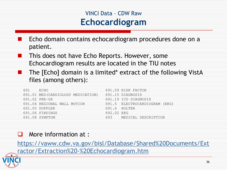### VINCI Data – CDW Raw **Echocardiogram**

- Echo domain contains echocardiogram procedures done on a patient.
- This does not have Echo Reports. However, some Echocardiogram results are located in the TIU notes
- The [Echo] domain is a limited\* extract of the following VistA files (among others):

| 691 ECHO |                                   |            | 691.09 RISK FACTOR            |
|----------|-----------------------------------|------------|-------------------------------|
|          | 691.01 MED(CARDIOLOGY MEDICATION) |            | 691.15 DIAGNOSIS              |
|          | 691.02 PRE-DX                     |            | 691.19 ICD DIAGNOSIS          |
|          | 691.04 REGIONAL WALL MOTION       |            | 691.5 ELECTROCARDIOGRAM (EKG) |
|          | 691.05 DOPPLER                    |            | 691.6 HOLTER                  |
|          | 691.06 FINDINGS                   | 692.02 EKG |                               |
|          | 691.08 SYMPTOM                    |            | 693 MEDICAL DESCRIPTION       |

#### $\Box$ More information at :

[https://vaww.cdw.va.gov/bisl/Database/Shared%20Documents/Ext](https://vaww.cdw.va.gov/bisl/Database/Shared Documents/Extractor/Extraction - Echocardiogram.htm)  ractor/Extraction%20-%20Echocardiogram.htm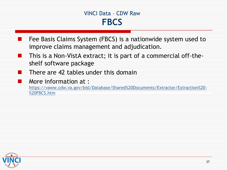#### VINCI Data – CDW Raw **FBCS**

- Fee Basis Claims System (FBCS) is a nationwide system used to improve claims management and adjudication.
- This is a Non-VistA extract; it is part of a commercial off-theœ shelf software package
- There are 42 tables under this domain
	- More information at :

[https://vaww.cdw.va.gov/bisl/Database/Shared%20Documents/Extractor/Extraction%20](https://vaww.cdw.va.gov/bisl/Database/Shared Documents/Extractor/Extraction - FBCS.htm) [%20FBCS.htm](https://vaww.cdw.va.gov/bisl/Database/Shared Documents/Extractor/Extraction - FBCS.htm) 



. .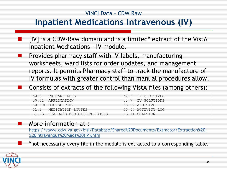#### VINCI Data – CDW Raw

### **Inpatient Medications Intravenous (IV)**

- [IV] is a CDW-Raw domain and is a limited\* extract of the VistA Inpatient Medications - IV module.
- reports. It permits Pharmacy staff to track the manufacture of IV formulas with greater control than manual procedures allow. I. [IV] is a CDW-Raw domain and is a limited\* extract of the VistA<br>Inpatient Medications - IV module.<br>Provides pharmacy staff with IV labels, manufacturing<br>worksheets, ward lists for order updates, and management<br>reports. It Provides pharmacy staff with IV labels, manufacturing worksheets, ward lists for order updates, and management

#### Consists of extracts of the following VistA files (among others):

| 50.3 PRIMARY DRUG                | 52.6 IV ADDITIVES  |
|----------------------------------|--------------------|
| 50.31 APPLICATION                | 52.7 IV SOLUTIONS  |
| 50.606 DOSAGE FORM               | 55.02 ADDITIVE     |
| 51.2 MEDICATION ROUTES           | 55.04 ACTIVITY LOG |
| 51.23 STANDARD MEDICATION ROUTES | 55.11 SOLUTION     |

#### More information at :

[https://vaww.cdw.va.gov/bisl/Database/Shared%20Documents/Extractor/Extraction%20](https://vaww.cdw.va.gov/bisl/Database/Shared Documents/Extractor/Extraction - Intravenous Meds (IV).htm) [%20Intravenous%20Meds%20\(IV\).htm](https://vaww.cdw.va.gov/bisl/Database/Shared Documents/Extractor/Extraction - Intravenous Meds (IV).htm) 

\*not necessarily every file in the module is extracted to a corresponding table.

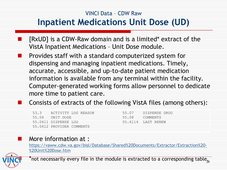### VINCI Data – CDW Raw **Inpatient Medications Unit Dose (UD)**

- [RxUD] is a CDW-Raw domain and is a limited\* extract of the VistA Inpatient Medications – Unit Dose module.
- Provides staff with a standard computerized system for I. dispensing and managing inpatient medications. Timely, accurate, accessible, and up-to-date patient medication information is available from any terminal within the facility. Computer-generated working forms allow personnel to dedicate more time to patient care.

#### Consists of extracts of the following VistA files (among others):

| 53.3 ACTIVITY LOG REASON  |                | 55.07 DISPENSE    |
|---------------------------|----------------|-------------------|
| 55.06 UNIT DOSE           | 55.08 COMMENTS |                   |
| 55.0611 DISPENSE LOG      |                | 55.6114 IAST RENE |
| 55.0612 PROVIDER COMMENTS |                |                   |

55.08 55.6114 LAST RENEW 55.07 DISPENSE DRUG

#### More information at :

[https://vaww.cdw.va.gov/bisl/Database/Shared%20Documents/Extractor/Extraction%20](https://vaww.cdw.va.gov/bisl/Database/Shared Documents/Extractor/Extraction - Unit Dose.htm) [%20Unit%20Dose.htm](https://vaww.cdw.va.gov/bisl/Database/Shared Documents/Extractor/Extraction - Unit Dose.htm)



\*not necessarily every file in the module is extracted to a corresponding table<sub>39</sub>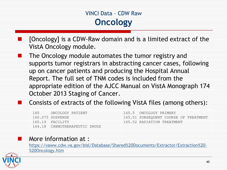### VINCI Data – CDW Raw **Oncology**

- [Oncology] is a CDW-Raw domain and is a limited extract of the VistA Oncology module.
- The Oncology module automates the tumor registry and supports tumor registrars in abstracting cancer cases, following up on cancer patients and producing the Hospital Annual Report. The full set of TNM codes is included from the appropriate edition of the AJCC Manual on VistA Monograph 174 October 2013 Staging of Cancer.

#### Consists of extracts of the following VistA files (among others):

| 160 | ONCOLOGY PATIENT              | 165.5 ONCOLOGY PRIMARY                |
|-----|-------------------------------|---------------------------------------|
|     | 160.075 SUSPENSE              | 165.51 SUBSEQUENT COURSE OF TREATMENT |
|     | 160.19 FACILITY               | $-165$ .52 RADIATION TREATMENT        |
|     | 164.18 CHEMOTHERAPEUTIC DRUGS |                                       |

#### More information at :

[https://vaww.cdw.va.gov/bisl/Database/Shared%20Documents/Extractor/Extraction%20](https://vaww.cdw.va.gov/bisl/Database/Shared Documents/Extractor/Extraction - Oncology.htm) [%20Oncology.htm](https://vaww.cdw.va.gov/bisl/Database/Shared Documents/Extractor/Extraction - Oncology.htm)

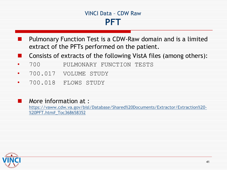#### VINCI Data – CDW Raw **PFT**

- Pulmonary Function Test is a CDW-Raw domain and is a limited extract of the PFTs performed on the patient.
- Consists of extracts of the following VistA files (among others): . .
- • 700 PULMONARY FUNCTION TESTS
- • 700.017 VOLUME STUDY
- • 700.018 FLOWS STUDY

#### More information at :

[https://vaww.cdw.va.gov/bisl/Database/Shared%20Documents/Extractor/Extraction%20](https://vaww.cdw.va.gov/bisl/Database/Shared Documents/Extractor/Extraction - PFT.htm#_Toc368658352) [%20PFT.htm#\\_Toc368658352](https://vaww.cdw.va.gov/bisl/Database/Shared Documents/Extractor/Extraction - PFT.htm#_Toc368658352) 

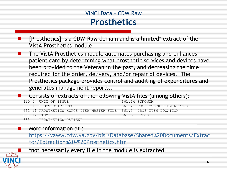### VINCI Data – CDW Raw **Prosthetics**

- [Prosthetics] is a CDW-Raw domain and is a limited\* extract of the  $\overline{\phantom{a}}$ VistA Prosthetics module
- been provided to the Veteran in the past, and decreasing the time required for the order, delivery, and/or repair of devices. The ×, The VistA Prosthetics module automates purchasing and enhances patient care by determining what prosthetic services and devices have Prosthetics package provides control and auditing of expenditures and generates management reports..

#### Consists of extracts of the following VistA files (among others):

|             | 420.5 UNIT OF ISSUE                                                | 661.14 SYNONYM               |
|-------------|--------------------------------------------------------------------|------------------------------|
|             | 661.1 PROSTHETIC HCPCS                                             | 661.2 PROS STOCK ITEM RECORD |
|             | 661.11 PROSTHETICS HCPCS ITEM MASTER FILE 661.3 PROS ITEM LOCATION |                              |
| 661.12 TTEM |                                                                    | 661.31 HCPCS                 |
|             | 665 PROSTHETICS PATIENT                                            |                              |

#### More information at :

[https://vaww.cdw.va.gov/bisl/Database/Shared%20Documents/Extrac](https://vaww.cdw.va.gov/bisl/Database/Shared Documents/Extractor/Extraction - Prosthetics.htm)  [tor/Extraction%20-%20Prosthetics.htm](https://vaww.cdw.va.gov/bisl/Database/Shared Documents/Extractor/Extraction - Prosthetics.htm) 



a.

#### \*not necessarily every file in the module is extracted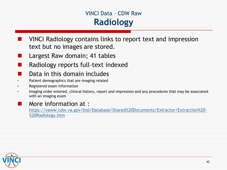### VINCI Data – CDW Raw **Radiology**

- VINCI Radiology contains links to report text and impression text but no images are stored.
- Largest Raw domain; 41 tables
	- Radiology reports full-text indexed
- Data in this domain includes
- Patient demographics that are imaging related •
- • Registered exam information
- Imaging order entered, clinical history, report and impression and any procedures that may be associated with an imaging exam •

#### . . More information at :

[https://vaww.cdw.va.gov/bisl/Database/Shared%20Documents/Extractor/Extraction%20](https://vaww.cdw.va.gov/bisl/Database/Shared Documents/Extractor/Extraction - Radiology.htm) [%20Radiology.htm](https://vaww.cdw.va.gov/bisl/Database/Shared Documents/Extractor/Extraction - Radiology.htm) 

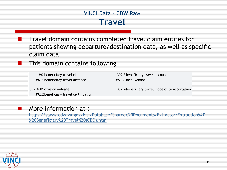#### VINCI Data – CDW Raw **Travel**

 Travel domain contains completed travel claim entries for patients showing departure/destination data, as well as specific claim data.

#### This domain contains following

| 392 beneficiary travel claim                                        | 392.3 beneficiary travel account                |
|---------------------------------------------------------------------|-------------------------------------------------|
| 392.1 beneficiary travel distance                                   | 392.31 local vendor                             |
| 392.1001 division mileage<br>392.2 beneficiary travel certification | 392.4 beneficiary travel mode of transportation |

#### More information at :

[https://vaww.cdw.va.gov/bisl/Database/Shared%20Documents/Extractor/Extraction%20](https://vaww.cdw.va.gov/bisl/Database/Shared Documents/Extractor/Extraction - Beneficiary Travel (CBO).htm) [%20Beneficiary%20Travel%20\(CBO\).htm](https://vaww.cdw.va.gov/bisl/Database/Shared Documents/Extractor/Extraction - Beneficiary Travel (CBO).htm) 



×.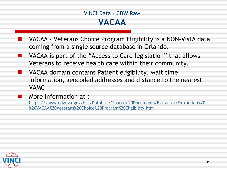#### VINCI Data – CDW Raw **VACAA**

- VACAA Veterans Choice Program Eligibility is a NON-VistA data coming from a single source database in Orlando.
- **NOCAA** is part of the "Access to Care legislation" that allows Veterans to receive health care within their community.
- ▜ VACAA domain contains Patient eligibility, wait time information, geocoded addresses and distance to the nearest VAMC

#### More information at :

[https://vaww.cdw.va.gov/bisl/Database/Shared%20Documents/Extractor/Extraction%20](https://vaww.cdw.va.gov/bisl/Database/Shared Documents/Extractor/Extraction - VACAA Veterans Choice Program Eligibility.htm) [%20VACAA%20Veterans%20Choice%20Program%20Eligibility.htm](https://vaww.cdw.va.gov/bisl/Database/Shared Documents/Extractor/Extraction - VACAA Veterans Choice Program Eligibility.htm) 

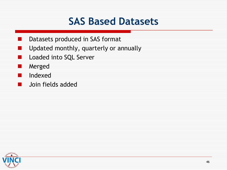## **SAS Based Datasets**

- Datasets produced in SAS format
- Updated monthly, quarterly or annually . .
- e de la Loaded into SQL Server
- l. Merged

- 1 Indexed
- a s Join fields added

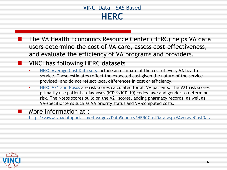### VINCI Data – SAS Based **HERC**

The VA Health Economics Resource Center (HERC) helps VA data users determine the cost of VA care, assess cost-effectiveness, and evaluate the efficiency of VA programs and providers.

#### VINCI has following HERC datasets

- [HERC Average Cost Data sets](http://vaww.vhadataportal.med.va.gov/DataSources/HERCCostData.aspx#AverageCostData) include an estimate of the cost of every VA health provided, and do not reflect local differences in cost or efficiency. service. These estimates reflect the expected cost given the nature of the service
- [HERC V21 and Nosos](http://vaww.herc.research.va.gov/include/page.asp?id=technical-report-risk-adjustment) are risk scores calculated for all VA patients. The V21 risk scores risk. The Nosos scores build on the V21 scores, adding pharmacy records, as well as • primarily use patients' diagnoses (ICD-9/ICD-10) codes, age and gender to determine VA-specific items such as VA priority status and VA-computed costs.

#### More information at :

<http://vaww.vhadataportal.med.va.gov/DataSources/HERCCostData.aspx#AverageCostData>



. .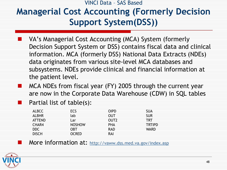VINCI Data – SAS Based

## **Managerial Cost Accounting (Formerly Decision Support System(DSS))**

- information. MCA (formerly DSS) National Data Extracts (NDEs) VA's Managerial Cost Accounting (MCA) System (formerly Decision Support System or DSS) contains fiscal data and clinical data originates from various site-level MCA databases and subsystems. NDEs provide clinical and financial information at the patient level.
- are now in the Corporate Data Warehouse (CDW) in SQL tables e e MCA NDEs from fiscal year (FY) 2005 through the current year
	- Partial list of table(s):

| ALBCC        | <b>ECS</b>    | <b>OIPD</b>      | SUA           |
|--------------|---------------|------------------|---------------|
| <b>ALBHR</b> | lab           | OUT              | <b>SUR</b>    |
| ATTEND       | Lar           | OUT <sub>2</sub> | <b>TRT</b>    |
| CHAR4        | <b>NOSHOW</b> | PHA              | <b>TRTIPD</b> |
| <b>DDC</b>   | OBT           | <b>RAD</b>       | <b>WARD</b>   |
| <b>DISCH</b> | <b>OCRED</b>  | RAI              |               |

More information at: http://vaww.dss.med.va.gov/index.asp

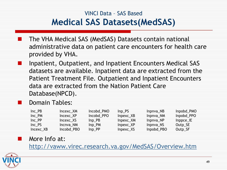### VINCI Data – SAS Based **Medical SAS Datasets(MedSAS)**

- The VHA Medical SAS (MedSAS) Datasets contain national administrative data on patient care encounters for health care provided by VHA.
- Patient Treatment File. Outpatient and Inpatient Encounters Inpatient, Outpatient, and Inpatient Encounters Medical SAS datasets are available. Inpatient data are extracted from the data are extracted from the Nation Patient Care Database(NPCD).

#### Domain Tables:

| $Inc$ $PB$ | Incexc_XM  | Incobd PMO | Inp PS      | Inpnva_NB  | Inpobd_PMO  |
|------------|------------|------------|-------------|------------|-------------|
| Inc PM     | Incexc XP  | Incobd_PPO | $Inpexc_XB$ | Inpnva_NM  | Inpobd_PPO  |
| Inc PP     | Incexc_XS  | $Inp$ $PB$ | Inpexc_XM   | Inpnya_NP  | $Inprec$ IE |
| Inc PS     | Incnva NM  | $Inp\_PM$  | Inpexc_XP   | Inpnya_NS  | Outp_SE     |
| Incexc_XB  | Incobd_PBO | Inp_PP     | Inpexc_XS   | Inpobd_PBO | Outp_SF     |

#### More Info at:

<http://vaww.virec.research.va.gov/MedSAS/Overview.htm>



œ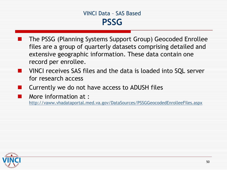#### VINCI Data – SAS Based **PSSG**

- extensive geographic information. These data contain one The PSSG (Planning Systems Support Group) Geocoded Enrollee files are a group of quarterly datasets comprising detailed and record per enrollee.
- for research access VINCI receives SAS files and the data is loaded into SQL server
	- Currently we do not have access to ADUSH files
	- More information at :

<http://vaww.vhadataportal.med.va.gov/DataSources/PSSGGeocodedEnrolleeFiles.aspx>

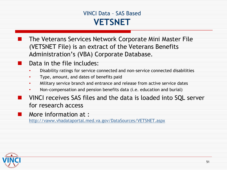### VINCI Data – SAS Based **VETSNET**

The Veterans Services Network Corporate Mini Master File (VETSNET File) is an extract of the Veterans Benefits Administration's (VBA) Corporate Database.

- Data in the file includes:
- Disability ratings for service connected and non-service connected disabilities
- • Type, amount, and dates of benefits paid
- Military service branch and entrance and release from active service dates
- Non-compensation and pension benefits data (i.e. education and burial)
- for research access VINCI receives SAS files and the data is loaded into SQL server

More information at :

<http://vaww.vhadataportal.med.va.gov/DataSources/VETSNET.aspx>



. .

m.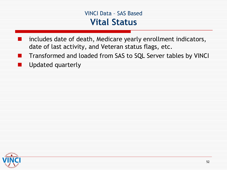#### VINCI Data – SAS Based **Vital Status**

- includes date of death, Medicare yearly enrollment indicators, date of last activity, and Veteran status flags, etc.
- . . **The Second** Transformed and loaded from SAS to SQL Server tables by VINCI Updated quarterly

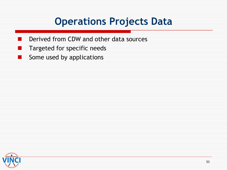## **Operations Projects Data**

- Derived from CDW and other data sources
- Targeted for specific needs
- . . Some used by applications

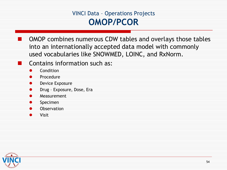### VINCI Data – Operations Projects **OMOP/PCOR**

- OMOP combines numerous CDW tables and overlays those tables into an internationally accepted data model with commonly used vocabularies like SNOWMED, LOINC, and RxNorm.
- Contains information such as:
- $\bullet$ Condition

.

- $\bullet$ Procedure
- ۰ Device Exposure
- $\bullet$ Drug – Exposure, Dose, Era
- $\bullet$ Measurement
- $\bullet$ Specimen
- $\bullet$ **Observation**
- $\bullet$ Visit

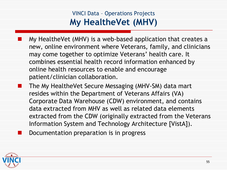### VINCI Data – Operations Projects  **My HealtheVet (MHV)**

- My HealtheVet (MHV) is a web-based application that creates a new, online environment where Veterans, family, and clinicians may come together to optimize Veterans' health care. It combines essential health record information enhanced by online health resources to enable and encourage patient/clinician collaboration.
- The My HealtheVet Secure Messaging (MHV-SM) data mart resides within the Department of Veterans Affairs (VA) Corporate Data Warehouse (CDW) environment, and contains data extracted from MHV as well as related data elements extracted from the CDW (originally extracted from the Veterans Information System and Technology Architecture [VistA]).

Documentation preparation is in progress

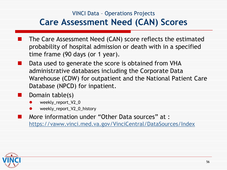### VINCI Data – Operations Projects **Care Assessment Need (CAN) Scores**

- probability of hospital admission or death with in a specified The Care Assessment Need (CAN) score reflects the estimated time frame (90 days (or 1 year).<br>Data used to generate the score is obtained from VHA
- administrative databases including the Corporate Data Warehouse (CDW) for outpatient and the National Patient Care Database (NPCD) for inpatient.
	- Domain table(s)
	- $\bullet$ weekly\_report\_V2\_0
	- $\bullet$ weekly\_report\_V2\_0\_history

More information under "Other Data sources" at : <https://vaww.vinci.med.va.gov/VinciCentral/DataSources/Index>



Ŧ

u.

m.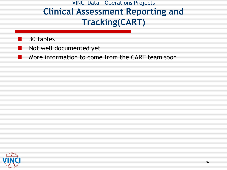VINCI Data – Operations Projects **Clinical Assessment Reporting and Tracking(CART)**

30 tables

- Not well documented yet
- More information to come from the CART team soon - 1

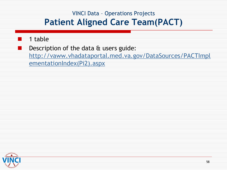### VINCI Data – Operations Projects **Patient Aligned Care Team(PACT)**

#### 1 table

Description of the data & users guide:

[http://vaww.vhadataportal.med.va.gov/DataSources/PACTImpl](http://vaww.vhadataportal.med.va.gov/DataSources/PACTImplementationIndex(Pi2).aspx) [ementationIndex\(Pi2\).aspx](http://vaww.vhadataportal.med.va.gov/DataSources/PACTImplementationIndex(Pi2).aspx)

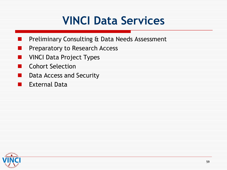## **VINCI Data Services**

- Preliminary Consulting & Data Needs Assessment
- Preparatory to Research Access
- VINCI Data Project Types
- Cohort Selection
- Data Access and Security
- t t External Data

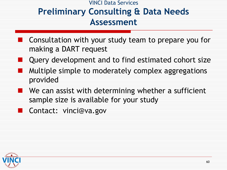### VINCI Data Services **Preliminary Consulting & Data Needs Assessment**

- Consultation with your study team to prepare you for making a DART request
- Query development and to find estimated cohort size
- Multiple simple to moderately complex aggregations provided
- We can assist with determining whether a sufficient sample size is available for your study
- Contact: vinci@va.gov  $\mathcal{L}(\mathcal{A})$

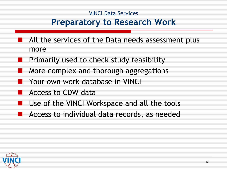### VINCI Data Services **Preparatory to Research Work**

- All the services of the Data needs assessment plus more
- **Primarily used to check study feasibility**
- More complex and thorough aggregations
- Your own work database in VINCI
- Access to CDW data
- Use of the VINCI Workspace and all the tools
- Access to individual data records, as needed

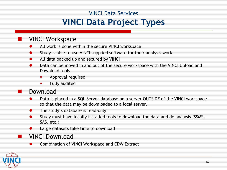### VINCI Data Services **VINCI Data Project Types**

#### VINCI Workspace

- All work is done within the secure VINCI workspace  $\bullet$
- Study is able to use VINCI supplied software for their analysis work.  $\bullet$
- All data backed up and secured by VINCI  $\bullet$
- Data can be moved in and out of the secure workspace with the VINCI Upload and Download tools.  $\bullet$ 
	- ×, Approval required
	- $\mathbf{r}$ Fully audited

#### Download

- Data is placed in a SQL Server database on a server OUTSIDE of the VINCI workspace so that the data may be downloaded to a local server.  $\bullet$
- The study's database is read-only  $\bullet$
- Study must have locally installed tools to download the data and do analysis (SSMS,  $\bullet$ SAS, etc.)
- $\bullet$ Large datasets take time to download

#### VINCI Download

**•** Combination of VINCI Workspace and CDW Extract



m.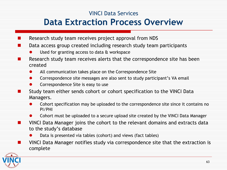#### VINCI Data Services

### **Data Extraction Process Overview**

- Research study team receives project approval from NDS **I**
- Ξ Data access group created including research study team participants
	- Used for granting access to data & workspace  $\bullet$
- Research study team receives alerts that the correspondence site has been . created
	- All communication takes place on the Correspondence Site  $\bullet$
	- $\bullet$ Correspondence site messages are also sent to study participant's VA email
	- Correspondence Site is easy to use  $\bullet$
- Œ Study team either sends cohort or cohort specification to the VINCI Data Managers.
	- Cohort specification may be uploaded to the correspondence site since it contains no  $\bullet$ PI/PHI
	- Cohort must be uploaded to a secure upload site created by the VINCI Data Manager  $\bullet$
- $\mathbf{r}$ VINCI Data Manager joins the cohort to the relevant domains and extracts data to the study's database
	- **•** Data is presented via tables (cohort) and views (fact tables)
- **Numb VINCI Data Manager notifies study via correspondence site that the extraction is** complete

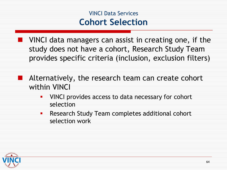### VINCI Data Services **Cohort Selection**

**NORTAN III VINCI data managers can assist in creating one, if the**  study does not have a cohort, Research Study Team provides specific criteria (inclusion, exclusion filters)

- $\mathcal{L}_{\mathcal{A}}$ Alternatively, the research team can create cohort within VINCI
	- $\blacksquare$ VINCI provides access to data necessary for cohort selection
	- $\blacksquare$ Research Study Team completes additional cohort selection work

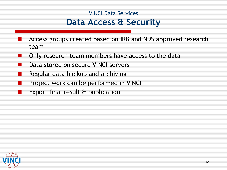### VINCI Data Services **Data Access & Security**

- Access groups created based on IRB and NDS approved research team
- Only research team members have access to the data
- Data stored on secure VINCI servers
- Regular data backup and archiving
- Project work can be performed in VINCI
- **The Second** Export final result & publication

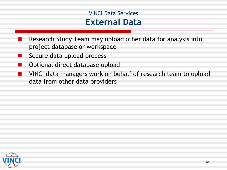### VINCI Data Services **External Data**

- Research Study Team may upload other data for analysis into project database or workspace
- Secure data upload process
- 11 Optional direct database upload
- . VINCI data managers work on behalf of research team to upload data from other data providers

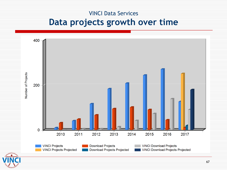#### VINCI Data Services

### **Data projects growth over time**

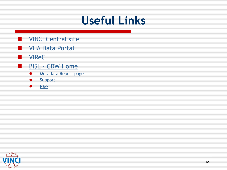# **Useful Links**

- **NO** [VINCI Central site](https://vaww.vinci.med.va.gov/vincicentral/)
- [VHA Data Portal](http://vaww.vhadataportal.med.va.gov/Home.aspx) 1 E
- [VIReC](http://vaww.virec.research.va.gov/) Œ
- [BISL -](https://vaww.cdw.va.gov/Pages/CDWHome.aspx) [CDW Home](https://vaww.cdw.va.gov/Pages/CDWHome.aspx)  **The State** 
	- **[Metadata Report page](https://vaww.cdw.va.gov/metadata/default.aspx)**
	- **[Support](https://vaww.cdw.va.gov/Support/SitePages/CDWSupportHome.aspx)**
	- **•** Raw